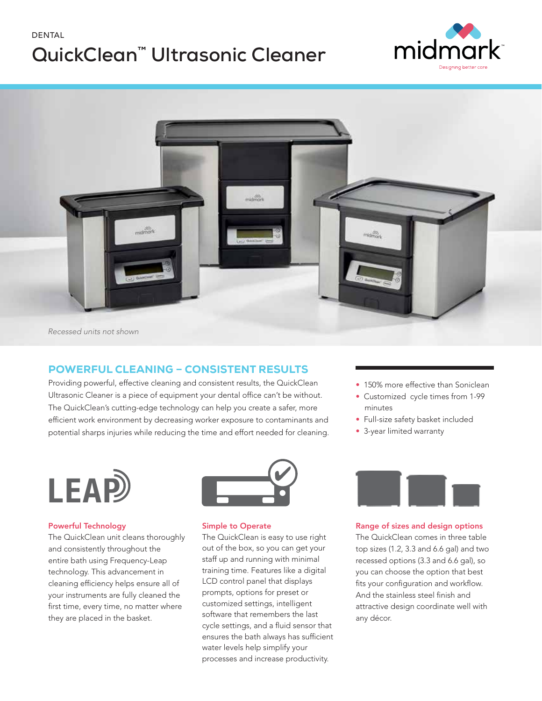# DENTAL **QuickClean™ Ultrasonic Cleaner**





### POWERFUL CLEANING – CONSISTENT RESULTS

Providing powerful, effective cleaning and consistent results, the QuickClean Ultrasonic Cleaner is a piece of equipment your dental office can't be without. The QuickClean's cutting-edge technology can help you create a safer, more efficient work environment by decreasing worker exposure to contaminants and potential sharps injuries while reducing the time and effort needed for cleaning.



#### Powerful Technology

The QuickClean unit cleans thoroughly and consistently throughout the entire bath using Frequency-Leap technology. This advancement in cleaning efficiency helps ensure all of your instruments are fully cleaned the first time, every time, no matter where they are placed in the basket.



#### Simple to Operate

The QuickClean is easy to use right out of the box, so you can get your staff up and running with minimal training time. Features like a digital LCD control panel that displays prompts, options for preset or customized settings, intelligent software that remembers the last cycle settings, and a fluid sensor that ensures the bath always has sufficient water levels help simplify your processes and increase productivity.

- 150% more effective than Soniclean
- Customized cycle times from 1-99 minutes
- Full-size safety basket included
- 3-year limited warranty



Range of sizes and design options

The QuickClean comes in three table top sizes (1.2, 3.3 and 6.6 gal) and two recessed options (3.3 and 6.6 gal), so you can choose the option that best fits your configuration and workflow. And the stainless steel finish and attractive design coordinate well with any décor.